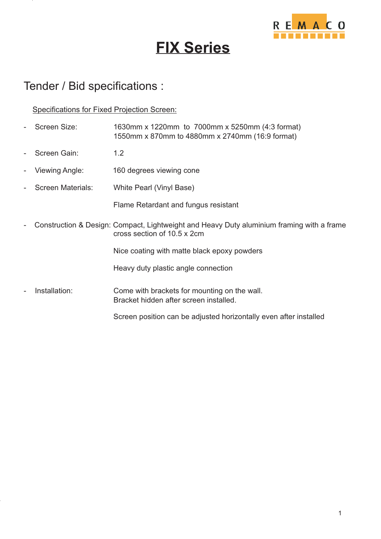

## **FIX Series**

## Tender / Bid specifications :

Specifications for Fixed Projection Screen:

- Screen Size: 1630mm x 1220mm to 7000mm x 5250mm (4:3 format) Screen Gain: 1.2 Viewing Angle: 160 degrees viewing cone Screen Materials: White Pearl (Vinyl Base) Flame Retardant and fungus resistant - Construction & Design: Compact, Lightweight and Heavy Duty aluminium framing with a frame cross section of 10.5 x 2cm Nice coating with matte black epoxy powders Heavy duty plastic angle connection Installation: Come with brackets for mounting on the wall. Screen position can be adjusted horizontally even after installed Bracket hidden after screen installed. 1550mm x 870mm to 4880mm x 2740mm (16:9 format)